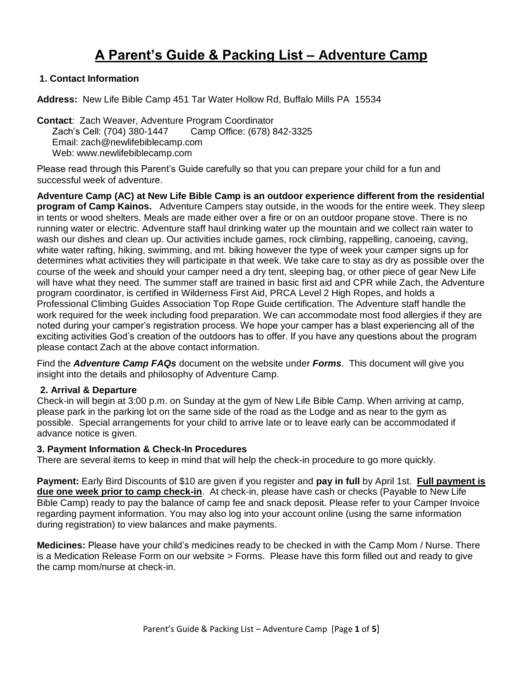# **A Parent's Guide & Packing List – Adventure Camp**

# **1. Contact Information**

**Address:** New Life Bible Camp 451 Tar Water Hollow Rd, Buffalo Mills PA 15534

**Contact**: Zach Weaver, Adventure Program Coordinator Zach's Cell: (704) 380-1447 Camp Office: (678) 842-3325 Email: zach@newlifebiblecamp.com Web: www.newlifebiblecamp.com

Please read through this Parent's Guide carefully so that you can prepare your child for a fun and successful week of adventure.

**Adventure Camp (AC) at New Life Bible Camp is an outdoor experience different from the residential program of Camp Kainos.** Adventure Campers stay outside, in the woods for the entire week. They sleep in tents or wood shelters. Meals are made either over a fire or on an outdoor propane stove. There is no running water or electric. Adventure staff haul drinking water up the mountain and we collect rain water to wash our dishes and clean up. Our activities include games, rock climbing, rappelling, canoeing, caving, white water rafting, hiking, swimming, and mt. biking however the type of week your camper signs up for determines what activities they will participate in that week. We take care to stay as dry as possible over the course of the week and should your camper need a dry tent, sleeping bag, or other piece of gear New Life will have what they need. The summer staff are trained in basic first aid and CPR while Zach, the Adventure program coordinator, is certified in Wilderness First Aid, PRCA Level 2 High Ropes, and holds a Professional Climbing Guides Association Top Rope Guide certification. The Adventure staff handle the work required for the week including food preparation. We can accommodate most food allergies if they are noted during your camper's registration process. We hope your camper has a blast experiencing all of the exciting activities God's creation of the outdoors has to offer. If you have any questions about the program please contact Zach at the above contact information.

Find the *Adventure Camp FAQs* document on the website under *Forms*. This document will give you insight into the details and philosophy of Adventure Camp.

#### **2. Arrival & Departure**

Check-in will begin at 3:00 p.m. on Sunday at the gym of New Life Bible Camp. When arriving at camp, please park in the parking lot on the same side of the road as the Lodge and as near to the gym as possible. Special arrangements for your child to arrive late or to leave early can be accommodated if advance notice is given.

#### **3. Payment Information & Check-In Procedures**

There are several items to keep in mind that will help the check-in procedure to go more quickly.

**Payment:** Early Bird Discounts of \$10 are given if you register and **pay in full** by April 1st. **Full payment is due one week prior to camp check-in**. At check-in, please have cash or checks (Payable to New Life Bible Camp) ready to pay the balance of camp fee and snack deposit. Please refer to your Camper Invoice regarding payment information. You may also log into your account online (using the same information during registration) to view balances and make payments.

**Medicines:** Please have your child's medicines ready to be checked in with the Camp Mom / Nurse. There is a Medication Release Form on our website > Forms. Please have this form filled out and ready to give the camp mom/nurse at check-in.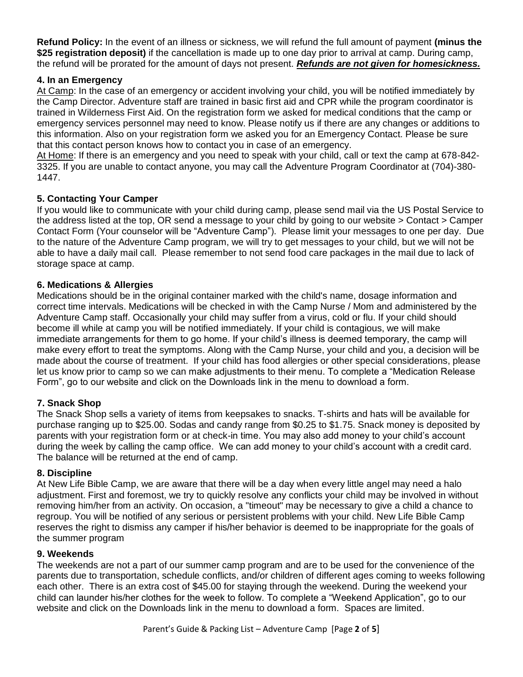**Refund Policy:** In the event of an illness or sickness, we will refund the full amount of payment **(minus the \$25 registration deposit)** if the cancellation is made up to one day prior to arrival at camp. During camp, the refund will be prorated for the amount of days not present. *Refunds are not given for homesickness.*

## **4. In an Emergency**

At Camp: In the case of an emergency or accident involving your child, you will be notified immediately by the Camp Director. Adventure staff are trained in basic first aid and CPR while the program coordinator is trained in Wilderness First Aid. On the registration form we asked for medical conditions that the camp or emergency services personnel may need to know. Please notify us if there are any changes or additions to this information. Also on your registration form we asked you for an Emergency Contact. Please be sure that this contact person knows how to contact you in case of an emergency.

At Home: If there is an emergency and you need to speak with your child, call or text the camp at 678-842- 3325. If you are unable to contact anyone, you may call the Adventure Program Coordinator at (704)-380- 1447.

# **5. Contacting Your Camper**

If you would like to communicate with your child during camp, please send mail via the US Postal Service to the address listed at the top, OR send a message to your child by going to our website > Contact > Camper Contact Form (Your counselor will be "Adventure Camp"). Please limit your messages to one per day. Due to the nature of the Adventure Camp program, we will try to get messages to your child, but we will not be able to have a daily mail call. Please remember to not send food care packages in the mail due to lack of storage space at camp.

## **6. Medications & Allergies**

Medications should be in the original container marked with the child's name, dosage information and correct time intervals. Medications will be checked in with the Camp Nurse / Mom and administered by the Adventure Camp staff. Occasionally your child may suffer from a virus, cold or flu. If your child should become ill while at camp you will be notified immediately. If your child is contagious, we will make immediate arrangements for them to go home. If your child's illness is deemed temporary, the camp will make every effort to treat the symptoms. Along with the Camp Nurse, your child and you, a decision will be made about the course of treatment. If your child has food allergies or other special considerations, please let us know prior to camp so we can make adjustments to their menu. To complete a "Medication Release Form", go to our website and click on the Downloads link in the menu to download a form.

# **7. Snack Shop**

The Snack Shop sells a variety of items from keepsakes to snacks. T-shirts and hats will be available for purchase ranging up to \$25.00. Sodas and candy range from \$0.25 to \$1.75. Snack money is deposited by parents with your registration form or at check-in time. You may also add money to your child's account during the week by calling the camp office. We can add money to your child's account with a credit card. The balance will be returned at the end of camp.

## **8. Discipline**

At New Life Bible Camp, we are aware that there will be a day when every little angel may need a halo adjustment. First and foremost, we try to quickly resolve any conflicts your child may be involved in without removing him/her from an activity. On occasion, a "timeout" may be necessary to give a child a chance to regroup. You will be notified of any serious or persistent problems with your child. New Life Bible Camp reserves the right to dismiss any camper if his/her behavior is deemed to be inappropriate for the goals of the summer program

## **9. Weekends**

The weekends are not a part of our summer camp program and are to be used for the convenience of the parents due to transportation, schedule conflicts, and/or children of different ages coming to weeks following each other. There is an extra cost of \$45.00 for staying through the weekend. During the weekend your child can launder his/her clothes for the week to follow. To complete a "Weekend Application", go to our website and click on the Downloads link in the menu to download a form. Spaces are limited.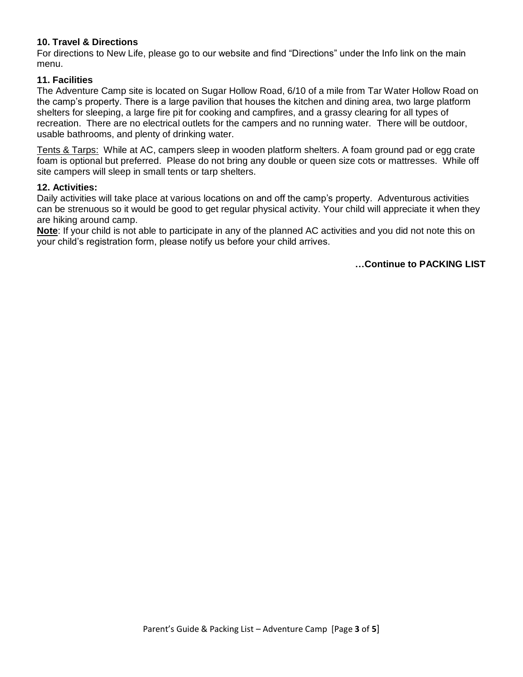## **10. Travel & Directions**

For directions to New Life, please go to our website and find "Directions" under the Info link on the main menu.

## **11. Facilities**

The Adventure Camp site is located on Sugar Hollow Road, 6/10 of a mile from Tar Water Hollow Road on the camp's property. There is a large pavilion that houses the kitchen and dining area, two large platform shelters for sleeping, a large fire pit for cooking and campfires, and a grassy clearing for all types of recreation. There are no electrical outlets for the campers and no running water. There will be outdoor, usable bathrooms, and plenty of drinking water.

Tents & Tarps: While at AC, campers sleep in wooden platform shelters. A foam ground pad or egg crate foam is optional but preferred. Please do not bring any double or queen size cots or mattresses. While off site campers will sleep in small tents or tarp shelters.

#### **12. Activities:**

Daily activities will take place at various locations on and off the camp's property. Adventurous activities can be strenuous so it would be good to get regular physical activity. Your child will appreciate it when they are hiking around camp.

**Note**: If your child is not able to participate in any of the planned AC activities and you did not note this on your child's registration form, please notify us before your child arrives.

**…Continue to PACKING LIST**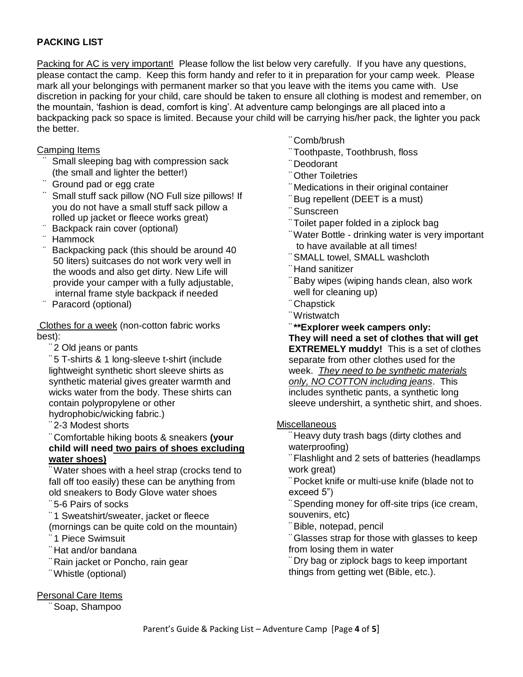# **PACKING LIST**

Packing for AC is very important! Please follow the list below very carefully. If you have any questions, please contact the camp. Keep this form handy and refer to it in preparation for your camp week. Please mark all your belongings with permanent marker so that you leave with the items you came with. Use discretion in packing for your child, care should be taken to ensure all clothing is modest and remember, on the mountain, 'fashion is dead, comfort is king'. At adventure camp belongings are all placed into a backpacking pack so space is limited. Because your child will be carrying his/her pack, the lighter you pack the better.

#### Camping Items

- Small sleeping bag with compression sack (the small and lighter the better!)
- Ground pad or egg crate
- Small stuff sack pillow (NO Full size pillows! If you do not have a small stuff sack pillow a rolled up jacket or fleece works great)
- Backpack rain cover (optional)
- ¨ Hammock
- Backpacking pack (this should be around 40 50 liters) suitcases do not work very well in the woods and also get dirty. New Life will provide your camper with a fully adjustable, internal frame style backpack if needed
- Paracord (optional)

Clothes for a week (non-cotton fabric works best):

¨ 2 Old jeans or pants

¨ 5 T-shirts & 1 long-sleeve t-shirt (include lightweight synthetic short sleeve shirts as synthetic material gives greater warmth and wicks water from the body. These shirts can contain polypropylene or other hydrophobic/wicking fabric.)

¨ 2-3 Modest shorts

¨ Comfortable hiking boots & sneakers **(your child will need two pairs of shoes excluding water shoes)**

¨Water shoes with a heel strap (crocks tend to fall off too easily) these can be anything from old sneakers to Body Glove water shoes

¨ 5-6 Pairs of socks

¨ 1 Sweatshirt/sweater, jacket or fleece (mornings can be quite cold on the mountain)

- 1 Piece Swimsuit
- ¨ Hat and/or bandana
- ¨ Rain jacket or Poncho, rain gear
- ¨Whistle (optional)

Personal Care Items

Soap, Shampoo

- ¨ Comb/brush
- ¨ Toothpaste, Toothbrush, floss
- ¨ Deodorant
- ¨ Other Toiletries
- ¨ Medications in their original container
- ¨Bug repellent (DEET is a must)
- ¨Sunscreen
- ¨ Toilet paper folded in a ziplock bag
- ¨Water Bottle drinking water is very important to have available at all times!
- ¨SMALL towel, SMALL washcloth
- ¨ Hand sanitizer
- ¨Baby wipes (wiping hands clean, also work well for cleaning up)
- ¨ Chapstick
- ¨Wristwatch
- ¨**\*\*Explorer week campers only:**

**They will need a set of clothes that will get EXTREMELY muddy!** This is a set of clothes separate from other clothes used for the week. *They need to be synthetic materials only, NO COTTON including jeans*. This includes synthetic pants, a synthetic long sleeve undershirt, a synthetic shirt, and shoes.

## **Miscellaneous**

¨ Heavy duty trash bags (dirty clothes and waterproofing)

¨ Flashlight and 2 sets of batteries (headlamps work great)

¨Pocket knife or multi-use knife (blade not to exceed 5")

Spending money for off-site trips (ice cream, souvenirs, etc)

¨Bible, notepad, pencil

¨ Glasses strap for those with glasses to keep from losing them in water

¨ Dry bag or ziplock bags to keep important things from getting wet (Bible, etc.).